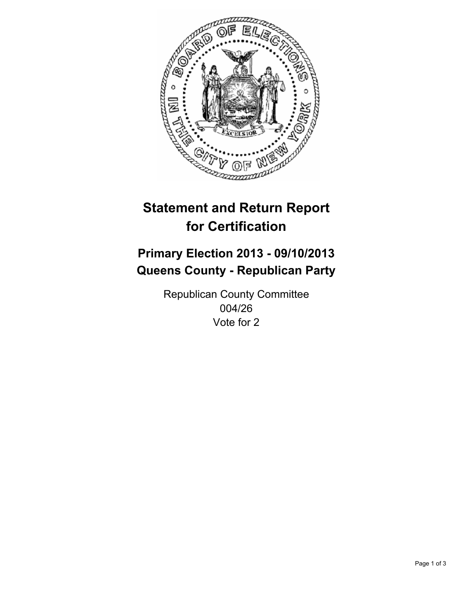

# **Statement and Return Report for Certification**

# **Primary Election 2013 - 09/10/2013 Queens County - Republican Party**

Republican County Committee 004/26 Vote for 2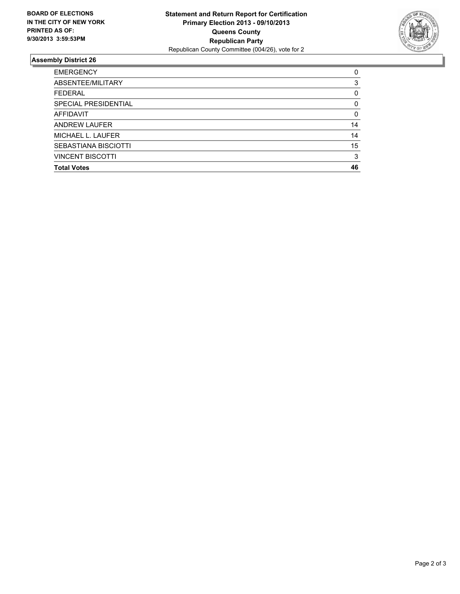

## **Assembly District 26**

| <b>EMERGENCY</b>            | 0        |
|-----------------------------|----------|
| ABSENTEE/MILITARY           | 3        |
| <b>FEDERAL</b>              | 0        |
| SPECIAL PRESIDENTIAL        | $\Omega$ |
| <b>AFFIDAVIT</b>            | 0        |
| <b>ANDREW LAUFER</b>        | 14       |
| MICHAEL L. LAUFER           | 14       |
| <b>SEBASTIANA BISCIOTTI</b> | 15       |
| <b>VINCENT BISCOTTI</b>     | 3        |
| <b>Total Votes</b>          | 46       |